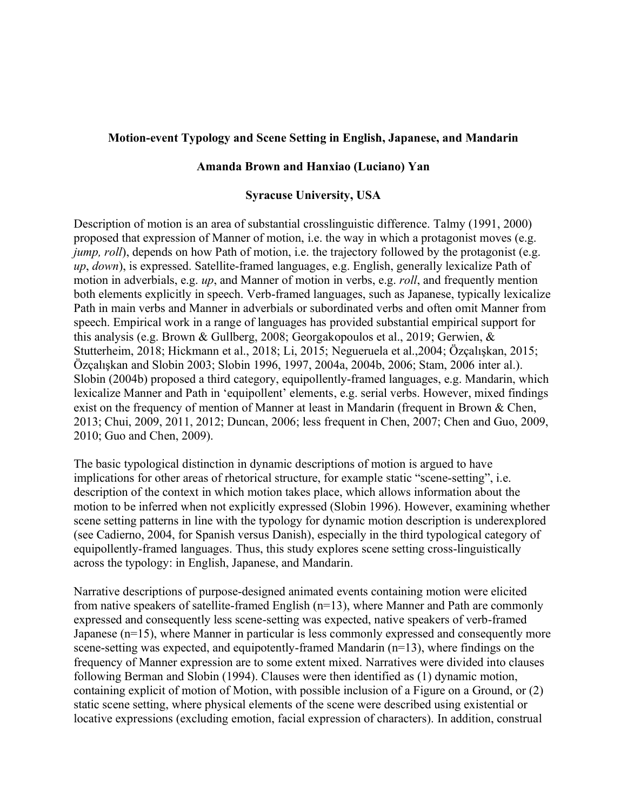## **Motion-event Typology and Scene Setting in English, Japanese, and Mandarin**

## **Amanda Brown and Hanxiao (Luciano) Yan**

## **Syracuse University, USA**

Description of motion is an area of substantial crosslinguistic difference. Talmy (1991, 2000) proposed that expression of Manner of motion, i.e. the way in which a protagonist moves (e.g. *jump, roll*), depends on how Path of motion, i.e. the trajectory followed by the protagonist (e.g. *up*, *down*), is expressed. Satellite-framed languages, e.g. English, generally lexicalize Path of motion in adverbials, e.g. *up*, and Manner of motion in verbs, e.g. *roll*, and frequently mention both elements explicitly in speech. Verb-framed languages, such as Japanese, typically lexicalize Path in main verbs and Manner in adverbials or subordinated verbs and often omit Manner from speech. Empirical work in a range of languages has provided substantial empirical support for this analysis (e.g. Brown & Gullberg, 2008; Georgakopoulos et al., 2019; Gerwien, & Stutterheim, 2018; Hickmann et al., 2018; Li, 2015; Negueruela et al.,2004; Özçalışkan, 2015; Özçalışkan and Slobin 2003; Slobin 1996, 1997, 2004a, 2004b, 2006; Stam, 2006 inter al.). Slobin (2004b) proposed a third category, equipollently-framed languages, e.g. Mandarin, which lexicalize Manner and Path in 'equipollent' elements, e.g. serial verbs. However, mixed findings exist on the frequency of mention of Manner at least in Mandarin (frequent in Brown & Chen, 2013; Chui, 2009, 2011, 2012; Duncan, 2006; less frequent in Chen, 2007; Chen and Guo, 2009, 2010; Guo and Chen, 2009).

The basic typological distinction in dynamic descriptions of motion is argued to have implications for other areas of rhetorical structure, for example static "scene-setting", i.e. description of the context in which motion takes place, which allows information about the motion to be inferred when not explicitly expressed (Slobin 1996). However, examining whether scene setting patterns in line with the typology for dynamic motion description is underexplored (see Cadierno, 2004, for Spanish versus Danish), especially in the third typological category of equipollently-framed languages. Thus, this study explores scene setting cross-linguistically across the typology: in English, Japanese, and Mandarin.

Narrative descriptions of purpose-designed animated events containing motion were elicited from native speakers of satellite-framed English (n=13), where Manner and Path are commonly expressed and consequently less scene-setting was expected, native speakers of verb-framed Japanese (n=15), where Manner in particular is less commonly expressed and consequently more scene-setting was expected, and equipotently-framed Mandarin (n=13), where findings on the frequency of Manner expression are to some extent mixed. Narratives were divided into clauses following Berman and Slobin (1994). Clauses were then identified as (1) dynamic motion, containing explicit of motion of Motion, with possible inclusion of a Figure on a Ground, or (2) static scene setting, where physical elements of the scene were described using existential or locative expressions (excluding emotion, facial expression of characters). In addition, construal